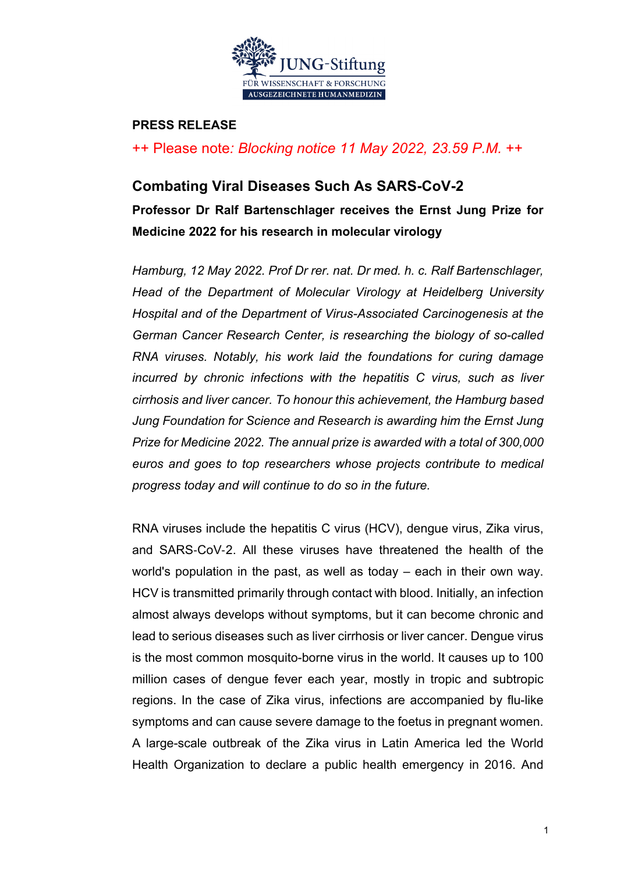

### **PRESS RELEASE**

++ Please note*: Blocking notice 11 May 2022, 23.59 P.M.* ++

### **Combating Viral Diseases Such As SARS-CoV-2**

**Professor Dr Ralf Bartenschlager receives the Ernst Jung Prize for Medicine 2022 for his research in molecular virology**

*Hamburg, 12 May 2022. Prof Dr rer. nat. Dr med. h. c. Ralf Bartenschlager, Head of the Department of Molecular Virology at Heidelberg University Hospital and of the Department of Virus-Associated Carcinogenesis at the German Cancer Research Center, is researching the biology of so-called RNA viruses. Notably, his work laid the foundations for curing damage incurred by chronic infections with the hepatitis C virus, such as liver cirrhosis and liver cancer. To honour this achievement, the Hamburg based Jung Foundation for Science and Research is awarding him the Ernst Jung Prize for Medicine 2022. The annual prize is awarded with a total of 300,000 euros and goes to top researchers whose projects contribute to medical progress today and will continue to do so in the future.*

RNA viruses include the hepatitis C virus (HCV), dengue virus, Zika virus, and SARS-CoV-2. All these viruses have threatened the health of the world's population in the past, as well as today – each in their own way. HCV is transmitted primarily through contact with blood. Initially, an infection almost always develops without symptoms, but it can become chronic and lead to serious diseases such as liver cirrhosis or liver cancer. Dengue virus is the most common mosquito-borne virus in the world. It causes up to 100 million cases of dengue fever each year, mostly in tropic and subtropic regions. In the case of Zika virus, infections are accompanied by flu-like symptoms and can cause severe damage to the foetus in pregnant women. A large-scale outbreak of the Zika virus in Latin America led the World Health Organization to declare a public health emergency in 2016. And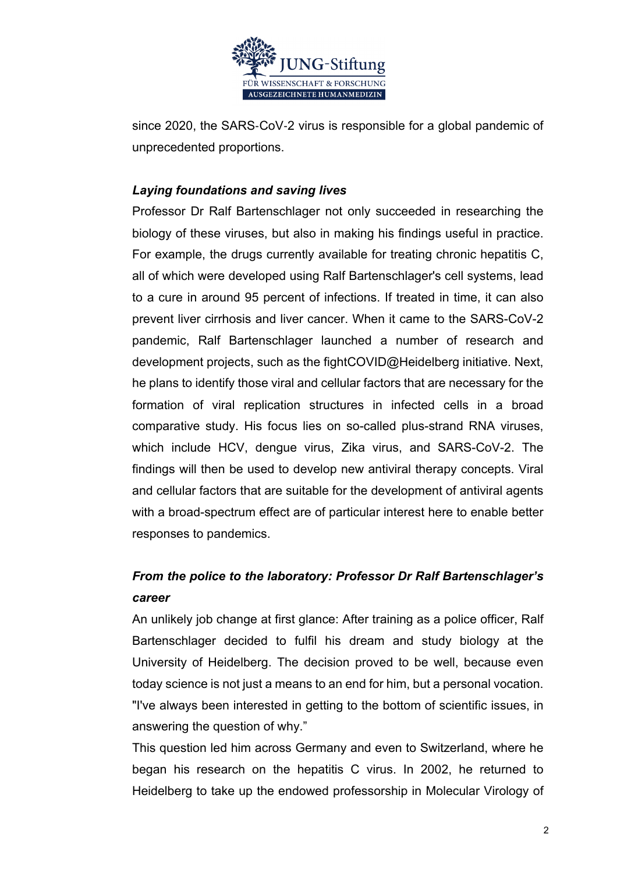

since 2020, the SARS-CoV-2 virus is responsible for a global pandemic of unprecedented proportions.

### *Laying foundations and saving lives*

Professor Dr Ralf Bartenschlager not only succeeded in researching the biology of these viruses, but also in making his findings useful in practice. For example, the drugs currently available for treating chronic hepatitis C, all of which were developed using Ralf Bartenschlager's cell systems, lead to a cure in around 95 percent of infections. If treated in time, it can also prevent liver cirrhosis and liver cancer. When it came to the SARS-CoV-2 pandemic, Ralf Bartenschlager launched a number of research and development projects, such as the fightCOVID@Heidelberg initiative. Next, he plans to identify those viral and cellular factors that are necessary for the formation of viral replication structures in infected cells in a broad comparative study. His focus lies on so-called plus-strand RNA viruses, which include HCV, dengue virus, Zika virus, and SARS-CoV-2. The findings will then be used to develop new antiviral therapy concepts. Viral and cellular factors that are suitable for the development of antiviral agents with a broad-spectrum effect are of particular interest here to enable better responses to pandemics.

# *From the police to the laboratory: Professor Dr Ralf Bartenschlager's career*

An unlikely job change at first glance: After training as a police officer, Ralf Bartenschlager decided to fulfil his dream and study biology at the University of Heidelberg. The decision proved to be well, because even today science is not just a means to an end for him, but a personal vocation. "I've always been interested in getting to the bottom of scientific issues, in answering the question of why."

This question led him across Germany and even to Switzerland, where he began his research on the hepatitis C virus. In 2002, he returned to Heidelberg to take up the endowed professorship in Molecular Virology of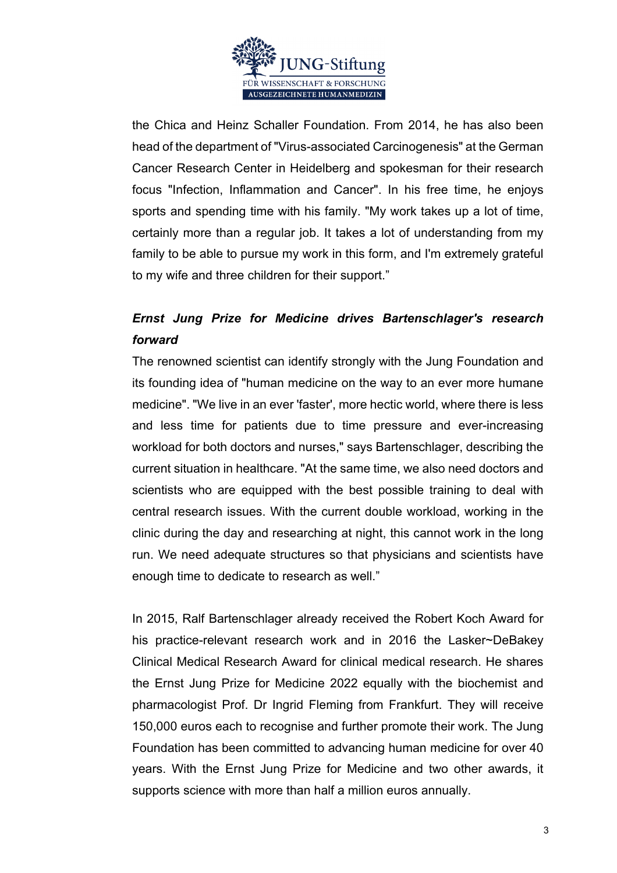

the Chica and Heinz Schaller Foundation. From 2014, he has also been head of the department of "Virus-associated Carcinogenesis" at the German Cancer Research Center in Heidelberg and spokesman for their research focus "Infection, Inflammation and Cancer". In his free time, he enjoys sports and spending time with his family. "My work takes up a lot of time, certainly more than a regular job. It takes a lot of understanding from my family to be able to pursue my work in this form, and I'm extremely grateful to my wife and three children for their support."

## *Ernst Jung Prize for Medicine drives Bartenschlager's research forward*

The renowned scientist can identify strongly with the Jung Foundation and its founding idea of "human medicine on the way to an ever more humane medicine". "We live in an ever 'faster', more hectic world, where there is less and less time for patients due to time pressure and ever-increasing workload for both doctors and nurses," says Bartenschlager, describing the current situation in healthcare. "At the same time, we also need doctors and scientists who are equipped with the best possible training to deal with central research issues. With the current double workload, working in the clinic during the day and researching at night, this cannot work in the long run. We need adequate structures so that physicians and scientists have enough time to dedicate to research as well."

In 2015, Ralf Bartenschlager already received the Robert Koch Award for his practice-relevant research work and in 2016 the Lasker~DeBakey Clinical Medical Research Award for clinical medical research. He shares the Ernst Jung Prize for Medicine 2022 equally with the biochemist and pharmacologist Prof. Dr Ingrid Fleming from Frankfurt. They will receive 150,000 euros each to recognise and further promote their work. The Jung Foundation has been committed to advancing human medicine for over 40 years. With the Ernst Jung Prize for Medicine and two other awards, it supports science with more than half a million euros annually.